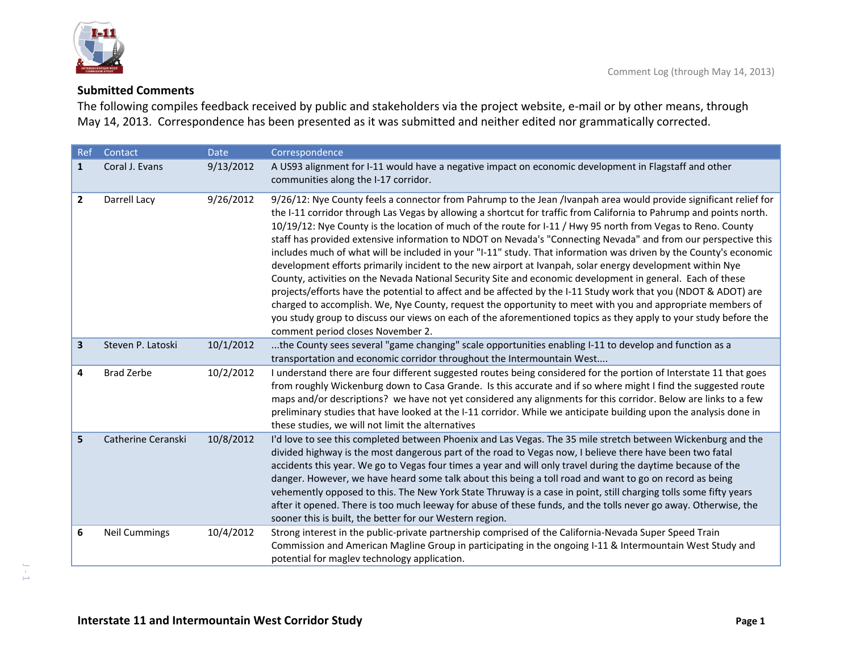



## **Submitted Comments**

The following compiles feedback received by public and stakeholders via the project website, <sup>e</sup>‐mail or by other means, through May 14, 2013. Correspondence has been presented as it was submitted and neither edited nor grammatically corrected.

| Ref          | Contact              | <b>Date</b> | Correspondence                                                                                                                                                                                                                                                                                                                                                                                                                                                                                                                                                                                                                                                                                                                                                                                                                                                                                                                                                                                                                                                                                                                                                                                                       |
|--------------|----------------------|-------------|----------------------------------------------------------------------------------------------------------------------------------------------------------------------------------------------------------------------------------------------------------------------------------------------------------------------------------------------------------------------------------------------------------------------------------------------------------------------------------------------------------------------------------------------------------------------------------------------------------------------------------------------------------------------------------------------------------------------------------------------------------------------------------------------------------------------------------------------------------------------------------------------------------------------------------------------------------------------------------------------------------------------------------------------------------------------------------------------------------------------------------------------------------------------------------------------------------------------|
| $\mathbf{1}$ | Coral J. Evans       | 9/13/2012   | A US93 alignment for I-11 would have a negative impact on economic development in Flagstaff and other<br>communities along the I-17 corridor.                                                                                                                                                                                                                                                                                                                                                                                                                                                                                                                                                                                                                                                                                                                                                                                                                                                                                                                                                                                                                                                                        |
| 2            | Darrell Lacy         | 9/26/2012   | 9/26/12: Nye County feels a connector from Pahrump to the Jean /Ivanpah area would provide significant relief for<br>the I-11 corridor through Las Vegas by allowing a shortcut for traffic from California to Pahrump and points north.<br>10/19/12: Nye County is the location of much of the route for I-11 / Hwy 95 north from Vegas to Reno. County<br>staff has provided extensive information to NDOT on Nevada's "Connecting Nevada" and from our perspective this<br>includes much of what will be included in your "I-11" study. That information was driven by the County's economic<br>development efforts primarily incident to the new airport at Ivanpah, solar energy development within Nye<br>County, activities on the Nevada National Security Site and economic development in general. Each of these<br>projects/efforts have the potential to affect and be affected by the I-11 Study work that you (NDOT & ADOT) are<br>charged to accomplish. We, Nye County, request the opportunity to meet with you and appropriate members of<br>you study group to discuss our views on each of the aforementioned topics as they apply to your study before the<br>comment period closes November 2. |
| 3            | Steven P. Latoski    | 10/1/2012   | the County sees several "game changing" scale opportunities enabling I-11 to develop and function as a<br>transportation and economic corridor throughout the Intermountain West                                                                                                                                                                                                                                                                                                                                                                                                                                                                                                                                                                                                                                                                                                                                                                                                                                                                                                                                                                                                                                     |
| 4            | <b>Brad Zerbe</b>    | 10/2/2012   | I understand there are four different suggested routes being considered for the portion of Interstate 11 that goes<br>from roughly Wickenburg down to Casa Grande. Is this accurate and if so where might I find the suggested route<br>maps and/or descriptions? we have not yet considered any alignments for this corridor. Below are links to a few<br>preliminary studies that have looked at the I-11 corridor. While we anticipate building upon the analysis done in<br>these studies, we will not limit the alternatives                                                                                                                                                                                                                                                                                                                                                                                                                                                                                                                                                                                                                                                                                    |
| 5            | Catherine Ceranski   | 10/8/2012   | I'd love to see this completed between Phoenix and Las Vegas. The 35 mile stretch between Wickenburg and the<br>divided highway is the most dangerous part of the road to Vegas now, I believe there have been two fatal<br>accidents this year. We go to Vegas four times a year and will only travel during the daytime because of the<br>danger. However, we have heard some talk about this being a toll road and want to go on record as being<br>vehemently opposed to this. The New York State Thruway is a case in point, still charging tolls some fifty years<br>after it opened. There is too much leeway for abuse of these funds, and the tolls never go away. Otherwise, the<br>sooner this is built, the better for our Western region.                                                                                                                                                                                                                                                                                                                                                                                                                                                               |
| 6            | <b>Neil Cummings</b> | 10/4/2012   | Strong interest in the public-private partnership comprised of the California-Nevada Super Speed Train<br>Commission and American Magline Group in participating in the ongoing I-11 & Intermountain West Study and<br>potential for maglev technology application.                                                                                                                                                                                                                                                                                                                                                                                                                                                                                                                                                                                                                                                                                                                                                                                                                                                                                                                                                  |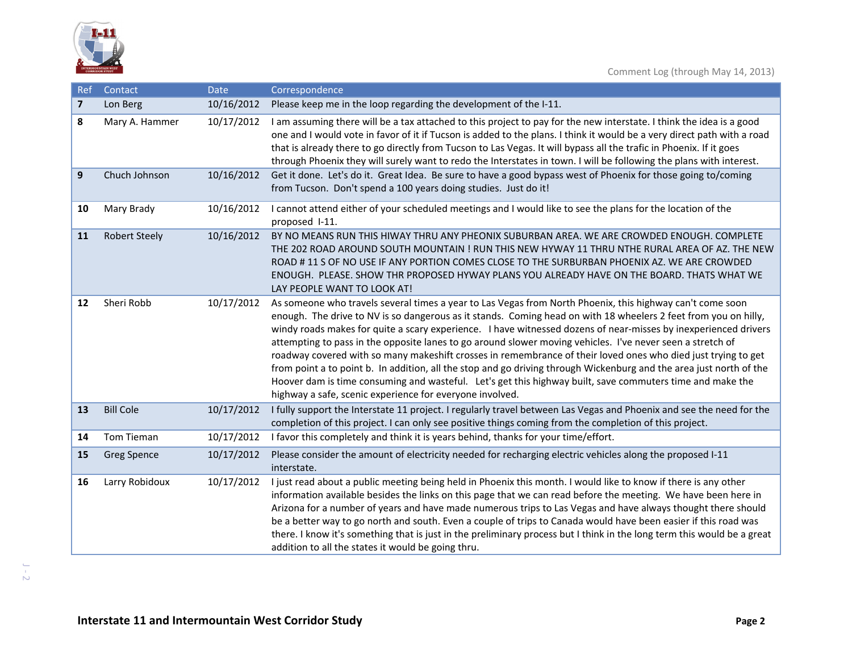

| Ref                     | Contact              | <b>Date</b> | Correspondence                                                                                                                                                                                                                                                                                                                                                                                                                                                                                                                                                                                                                                                                                                                                                                                                                                                                 |
|-------------------------|----------------------|-------------|--------------------------------------------------------------------------------------------------------------------------------------------------------------------------------------------------------------------------------------------------------------------------------------------------------------------------------------------------------------------------------------------------------------------------------------------------------------------------------------------------------------------------------------------------------------------------------------------------------------------------------------------------------------------------------------------------------------------------------------------------------------------------------------------------------------------------------------------------------------------------------|
| $\overline{\mathbf{z}}$ | Lon Berg             | 10/16/2012  | Please keep me in the loop regarding the development of the I-11.                                                                                                                                                                                                                                                                                                                                                                                                                                                                                                                                                                                                                                                                                                                                                                                                              |
| 8                       | Mary A. Hammer       | 10/17/2012  | I am assuming there will be a tax attached to this project to pay for the new interstate. I think the idea is a good<br>one and I would vote in favor of it if Tucson is added to the plans. I think it would be a very direct path with a road<br>that is already there to go directly from Tucson to Las Vegas. It will bypass all the trafic in Phoenix. If it goes<br>through Phoenix they will surely want to redo the Interstates in town. I will be following the plans with interest.                                                                                                                                                                                                                                                                                                                                                                                  |
| 9                       | Chuch Johnson        | 10/16/2012  | Get it done. Let's do it. Great Idea. Be sure to have a good bypass west of Phoenix for those going to/coming<br>from Tucson. Don't spend a 100 years doing studies. Just do it!                                                                                                                                                                                                                                                                                                                                                                                                                                                                                                                                                                                                                                                                                               |
| 10                      | Mary Brady           | 10/16/2012  | I cannot attend either of your scheduled meetings and I would like to see the plans for the location of the<br>proposed I-11.                                                                                                                                                                                                                                                                                                                                                                                                                                                                                                                                                                                                                                                                                                                                                  |
| 11                      | <b>Robert Steely</b> | 10/16/2012  | BY NO MEANS RUN THIS HIWAY THRU ANY PHEONIX SUBURBAN AREA. WE ARE CROWDED ENOUGH. COMPLETE<br>THE 202 ROAD AROUND SOUTH MOUNTAIN ! RUN THIS NEW HYWAY 11 THRU NTHE RURAL AREA OF AZ. THE NEW<br>ROAD # 11 S OF NO USE IF ANY PORTION COMES CLOSE TO THE SURBURBAN PHOENIX AZ. WE ARE CROWDED<br>ENOUGH. PLEASE. SHOW THR PROPOSED HYWAY PLANS YOU ALREADY HAVE ON THE BOARD. THATS WHAT WE<br>LAY PEOPLE WANT TO LOOK AT!                                                                                                                                                                                                                                                                                                                                                                                                                                                      |
| 12                      | Sheri Robb           | 10/17/2012  | As someone who travels several times a year to Las Vegas from North Phoenix, this highway can't come soon<br>enough. The drive to NV is so dangerous as it stands. Coming head on with 18 wheelers 2 feet from you on hilly,<br>windy roads makes for quite a scary experience. I have witnessed dozens of near-misses by inexperienced drivers<br>attempting to pass in the opposite lanes to go around slower moving vehicles. I've never seen a stretch of<br>roadway covered with so many makeshift crosses in remembrance of their loved ones who died just trying to get<br>from point a to point b. In addition, all the stop and go driving through Wickenburg and the area just north of the<br>Hoover dam is time consuming and wasteful. Let's get this highway built, save commuters time and make the<br>highway a safe, scenic experience for everyone involved. |
| 13                      | <b>Bill Cole</b>     | 10/17/2012  | I fully support the Interstate 11 project. I regularly travel between Las Vegas and Phoenix and see the need for the<br>completion of this project. I can only see positive things coming from the completion of this project.                                                                                                                                                                                                                                                                                                                                                                                                                                                                                                                                                                                                                                                 |
| 14                      | Tom Tieman           | 10/17/2012  | I favor this completely and think it is years behind, thanks for your time/effort.                                                                                                                                                                                                                                                                                                                                                                                                                                                                                                                                                                                                                                                                                                                                                                                             |
| 15                      | <b>Greg Spence</b>   | 10/17/2012  | Please consider the amount of electricity needed for recharging electric vehicles along the proposed I-11<br>interstate.                                                                                                                                                                                                                                                                                                                                                                                                                                                                                                                                                                                                                                                                                                                                                       |
| 16                      | Larry Robidoux       | 10/17/2012  | I just read about a public meeting being held in Phoenix this month. I would like to know if there is any other<br>information available besides the links on this page that we can read before the meeting. We have been here in<br>Arizona for a number of years and have made numerous trips to Las Vegas and have always thought there should<br>be a better way to go north and south. Even a couple of trips to Canada would have been easier if this road was<br>there. I know it's something that is just in the preliminary process but I think in the long term this would be a great<br>addition to all the states it would be going thru.                                                                                                                                                                                                                          |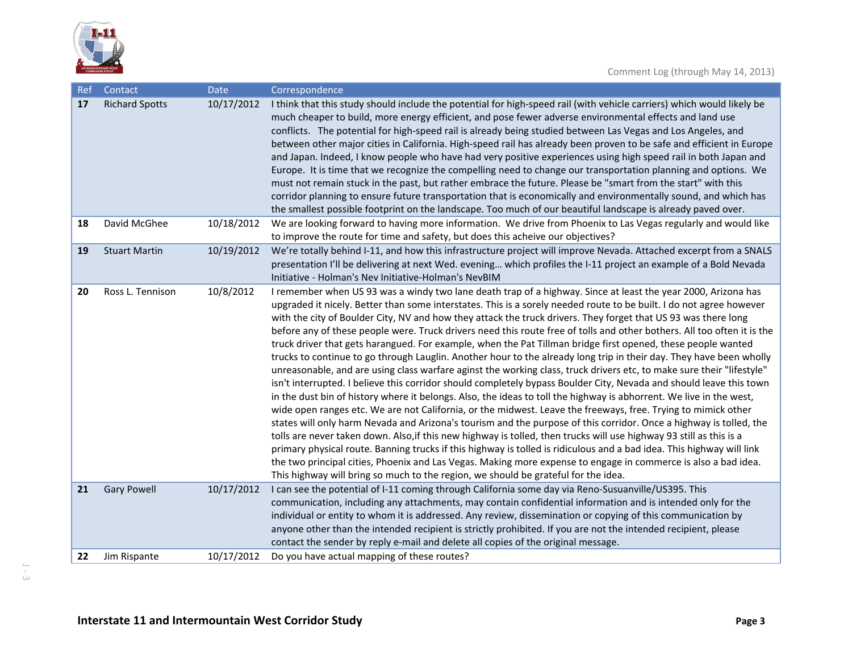

| <b>Ref</b> | Contact               | Date       | Correspondence                                                                                                                                                                                                                                                                                                                                                                                                                                                                                                                                                                                                                                                                                                                                                                                                                                                                                                                                                                                                                                                                                                                                                                                                                                                                                                                                                                                                                                                                                                                                                                                                                                                                                                                                                                                 |
|------------|-----------------------|------------|------------------------------------------------------------------------------------------------------------------------------------------------------------------------------------------------------------------------------------------------------------------------------------------------------------------------------------------------------------------------------------------------------------------------------------------------------------------------------------------------------------------------------------------------------------------------------------------------------------------------------------------------------------------------------------------------------------------------------------------------------------------------------------------------------------------------------------------------------------------------------------------------------------------------------------------------------------------------------------------------------------------------------------------------------------------------------------------------------------------------------------------------------------------------------------------------------------------------------------------------------------------------------------------------------------------------------------------------------------------------------------------------------------------------------------------------------------------------------------------------------------------------------------------------------------------------------------------------------------------------------------------------------------------------------------------------------------------------------------------------------------------------------------------------|
| 17         | <b>Richard Spotts</b> | 10/17/2012 | I think that this study should include the potential for high-speed rail (with vehicle carriers) which would likely be<br>much cheaper to build, more energy efficient, and pose fewer adverse environmental effects and land use<br>conflicts. The potential for high-speed rail is already being studied between Las Vegas and Los Angeles, and<br>between other major cities in California. High-speed rail has already been proven to be safe and efficient in Europe<br>and Japan. Indeed, I know people who have had very positive experiences using high speed rail in both Japan and<br>Europe. It is time that we recognize the compelling need to change our transportation planning and options. We<br>must not remain stuck in the past, but rather embrace the future. Please be "smart from the start" with this<br>corridor planning to ensure future transportation that is economically and environmentally sound, and which has<br>the smallest possible footprint on the landscape. Too much of our beautiful landscape is already paved over.                                                                                                                                                                                                                                                                                                                                                                                                                                                                                                                                                                                                                                                                                                                              |
| 18         | David McGhee          | 10/18/2012 | We are looking forward to having more information. We drive from Phoenix to Las Vegas regularly and would like<br>to improve the route for time and safety, but does this acheive our objectives?                                                                                                                                                                                                                                                                                                                                                                                                                                                                                                                                                                                                                                                                                                                                                                                                                                                                                                                                                                                                                                                                                                                                                                                                                                                                                                                                                                                                                                                                                                                                                                                              |
| 19         | <b>Stuart Martin</b>  | 10/19/2012 | We're totally behind I-11, and how this infrastructure project will improve Nevada. Attached excerpt from a SNALS<br>presentation I'll be delivering at next Wed. evening which profiles the I-11 project an example of a Bold Nevada<br>Initiative - Holman's Nev Initiative-Holman's NevBIM                                                                                                                                                                                                                                                                                                                                                                                                                                                                                                                                                                                                                                                                                                                                                                                                                                                                                                                                                                                                                                                                                                                                                                                                                                                                                                                                                                                                                                                                                                  |
| 20         | Ross L. Tennison      | 10/8/2012  | I remember when US 93 was a windy two lane death trap of a highway. Since at least the year 2000, Arizona has<br>upgraded it nicely. Better than some interstates. This is a sorely needed route to be built. I do not agree however<br>with the city of Boulder City, NV and how they attack the truck drivers. They forget that US 93 was there long<br>before any of these people were. Truck drivers need this route free of tolls and other bothers. All too often it is the<br>truck driver that gets harangued. For example, when the Pat Tillman bridge first opened, these people wanted<br>trucks to continue to go through Lauglin. Another hour to the already long trip in their day. They have been wholly<br>unreasonable, and are using class warfare aginst the working class, truck drivers etc, to make sure their "lifestyle"<br>isn't interrupted. I believe this corridor should completely bypass Boulder City, Nevada and should leave this town<br>in the dust bin of history where it belongs. Also, the ideas to toll the highway is abhorrent. We live in the west,<br>wide open ranges etc. We are not California, or the midwest. Leave the freeways, free. Trying to mimick other<br>states will only harm Nevada and Arizona's tourism and the purpose of this corridor. Once a highway is tolled, the<br>tolls are never taken down. Also, if this new highway is tolled, then trucks will use highway 93 still as this is a<br>primary physical route. Banning trucks if this highway is tolled is ridiculous and a bad idea. This highway will link<br>the two principal cities, Phoenix and Las Vegas. Making more expense to engage in commerce is also a bad idea.<br>This highway will bring so much to the region, we should be grateful for the idea. |
| 21         | <b>Gary Powell</b>    | 10/17/2012 | I can see the potential of I-11 coming through California some day via Reno-Susuanville/US395. This<br>communication, including any attachments, may contain confidential information and is intended only for the<br>individual or entity to whom it is addressed. Any review, dissemination or copying of this communication by<br>anyone other than the intended recipient is strictly prohibited. If you are not the intended recipient, please<br>contact the sender by reply e-mail and delete all copies of the original message.                                                                                                                                                                                                                                                                                                                                                                                                                                                                                                                                                                                                                                                                                                                                                                                                                                                                                                                                                                                                                                                                                                                                                                                                                                                       |
| 22         | Jim Rispante          | 10/17/2012 | Do you have actual mapping of these routes?                                                                                                                                                                                                                                                                                                                                                                                                                                                                                                                                                                                                                                                                                                                                                                                                                                                                                                                                                                                                                                                                                                                                                                                                                                                                                                                                                                                                                                                                                                                                                                                                                                                                                                                                                    |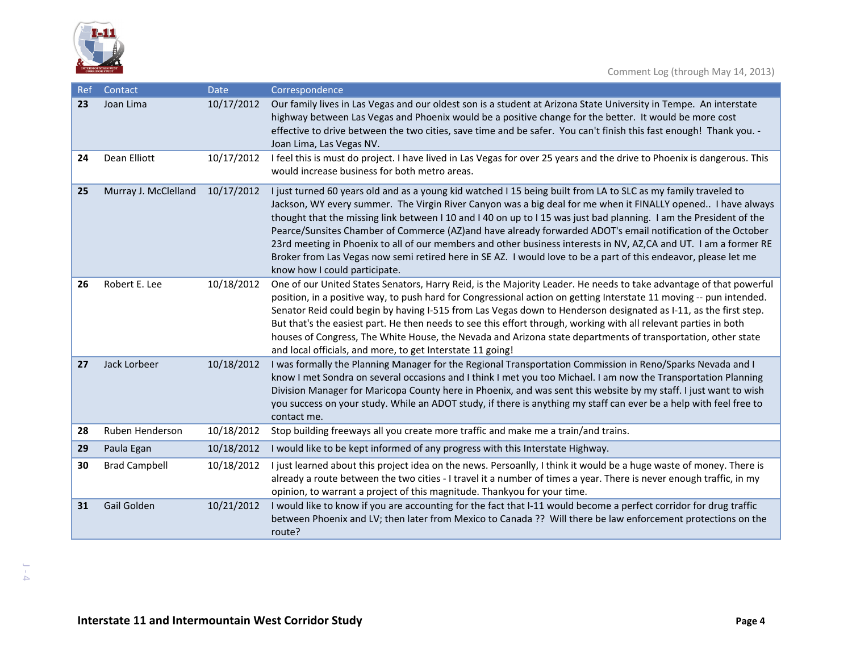

| Ref | Contact              | Date       | Correspondence                                                                                                                                                                                                                                                                                                                                                                                                                                                                                                                                                                                                                                                                                                                              |
|-----|----------------------|------------|---------------------------------------------------------------------------------------------------------------------------------------------------------------------------------------------------------------------------------------------------------------------------------------------------------------------------------------------------------------------------------------------------------------------------------------------------------------------------------------------------------------------------------------------------------------------------------------------------------------------------------------------------------------------------------------------------------------------------------------------|
| 23  | Joan Lima            | 10/17/2012 | Our family lives in Las Vegas and our oldest son is a student at Arizona State University in Tempe. An interstate<br>highway between Las Vegas and Phoenix would be a positive change for the better. It would be more cost<br>effective to drive between the two cities, save time and be safer. You can't finish this fast enough! Thank you. -<br>Joan Lima, Las Vegas NV.                                                                                                                                                                                                                                                                                                                                                               |
| 24  | Dean Elliott         | 10/17/2012 | I feel this is must do project. I have lived in Las Vegas for over 25 years and the drive to Phoenix is dangerous. This<br>would increase business for both metro areas.                                                                                                                                                                                                                                                                                                                                                                                                                                                                                                                                                                    |
| 25  | Murray J. McClelland | 10/17/2012 | I just turned 60 years old and as a young kid watched I 15 being built from LA to SLC as my family traveled to<br>Jackson, WY every summer. The Virgin River Canyon was a big deal for me when it FINALLY opened I have always<br>thought that the missing link between I 10 and I 40 on up to I 15 was just bad planning. I am the President of the<br>Pearce/Sunsites Chamber of Commerce (AZ)and have already forwarded ADOT's email notification of the October<br>23rd meeting in Phoenix to all of our members and other business interests in NV, AZ,CA and UT. I am a former RE<br>Broker from Las Vegas now semi retired here in SE AZ. I would love to be a part of this endeavor, please let me<br>know how I could participate. |
| 26  | Robert E. Lee        | 10/18/2012 | One of our United States Senators, Harry Reid, is the Majority Leader. He needs to take advantage of that powerful<br>position, in a positive way, to push hard for Congressional action on getting Interstate 11 moving -- pun intended.<br>Senator Reid could begin by having I-515 from Las Vegas down to Henderson designated as I-11, as the first step.<br>But that's the easiest part. He then needs to see this effort through, working with all relevant parties in both<br>houses of Congress, The White House, the Nevada and Arizona state departments of transportation, other state<br>and local officials, and more, to get Interstate 11 going!                                                                             |
| 27  | Jack Lorbeer         | 10/18/2012 | I was formally the Planning Manager for the Regional Transportation Commission in Reno/Sparks Nevada and I<br>know I met Sondra on several occasions and I think I met you too Michael. I am now the Transportation Planning<br>Division Manager for Maricopa County here in Phoenix, and was sent this website by my staff. I just want to wish<br>you success on your study. While an ADOT study, if there is anything my staff can ever be a help with feel free to<br>contact me.                                                                                                                                                                                                                                                       |
| 28  | Ruben Henderson      | 10/18/2012 | Stop building freeways all you create more traffic and make me a train/and trains.                                                                                                                                                                                                                                                                                                                                                                                                                                                                                                                                                                                                                                                          |
| 29  | Paula Egan           | 10/18/2012 | I would like to be kept informed of any progress with this Interstate Highway.                                                                                                                                                                                                                                                                                                                                                                                                                                                                                                                                                                                                                                                              |
| 30  | <b>Brad Campbell</b> | 10/18/2012 | I just learned about this project idea on the news. Persoanlly, I think it would be a huge waste of money. There is<br>already a route between the two cities - I travel it a number of times a year. There is never enough traffic, in my<br>opinion, to warrant a project of this magnitude. Thankyou for your time.                                                                                                                                                                                                                                                                                                                                                                                                                      |
| 31  | Gail Golden          | 10/21/2012 | I would like to know if you are accounting for the fact that I-11 would become a perfect corridor for drug traffic<br>between Phoenix and LV; then later from Mexico to Canada ?? Will there be law enforcement protections on the<br>route?                                                                                                                                                                                                                                                                                                                                                                                                                                                                                                |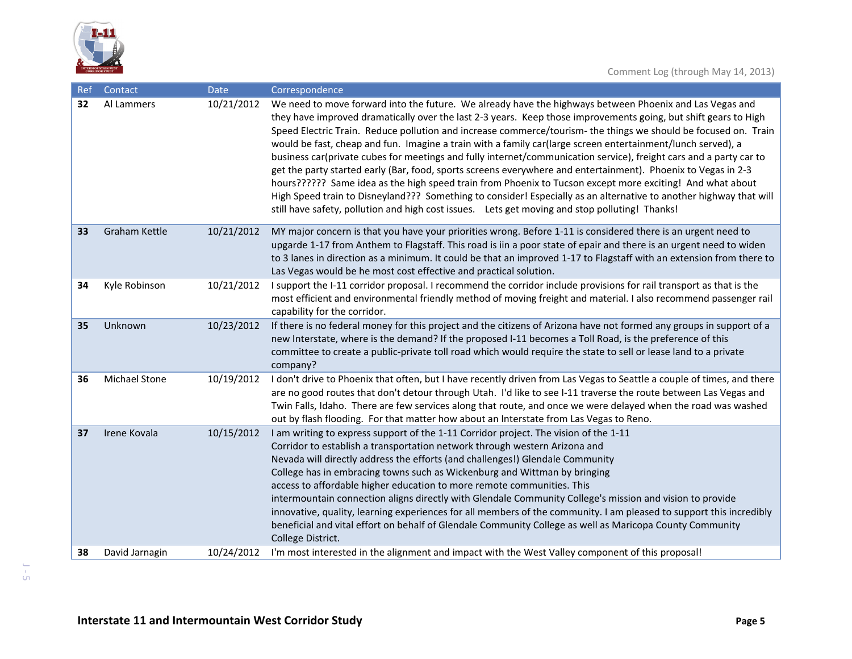

| Ref | Contact              | Date       | Correspondence                                                                                                                                                                                                                                                                                                                                                                                                                                                                                                                                                                                                                                                                                                                                                                                                                                                                                                                                                                                                                           |
|-----|----------------------|------------|------------------------------------------------------------------------------------------------------------------------------------------------------------------------------------------------------------------------------------------------------------------------------------------------------------------------------------------------------------------------------------------------------------------------------------------------------------------------------------------------------------------------------------------------------------------------------------------------------------------------------------------------------------------------------------------------------------------------------------------------------------------------------------------------------------------------------------------------------------------------------------------------------------------------------------------------------------------------------------------------------------------------------------------|
| 32  | Al Lammers           | 10/21/2012 | We need to move forward into the future. We already have the highways between Phoenix and Las Vegas and<br>they have improved dramatically over the last 2-3 years. Keep those improvements going, but shift gears to High<br>Speed Electric Train. Reduce pollution and increase commerce/tourism- the things we should be focused on. Train<br>would be fast, cheap and fun. Imagine a train with a family car(large screen entertainment/lunch served), a<br>business car(private cubes for meetings and fully internet/communication service), freight cars and a party car to<br>get the party started early (Bar, food, sports screens everywhere and entertainment). Phoenix to Vegas in 2-3<br>hours?????? Same idea as the high speed train from Phoenix to Tucson except more exciting! And what about<br>High Speed train to Disneyland??? Something to consider! Especially as an alternative to another highway that will<br>still have safety, pollution and high cost issues. Lets get moving and stop polluting! Thanks! |
| 33  | <b>Graham Kettle</b> | 10/21/2012 | MY major concern is that you have your priorities wrong. Before 1-11 is considered there is an urgent need to<br>upgarde 1-17 from Anthem to Flagstaff. This road is iin a poor state of epair and there is an urgent need to widen<br>to 3 lanes in direction as a minimum. It could be that an improved 1-17 to Flagstaff with an extension from there to<br>Las Vegas would be he most cost effective and practical solution.                                                                                                                                                                                                                                                                                                                                                                                                                                                                                                                                                                                                         |
| 34  | Kyle Robinson        | 10/21/2012 | I support the I-11 corridor proposal. I recommend the corridor include provisions for rail transport as that is the<br>most efficient and environmental friendly method of moving freight and material. I also recommend passenger rail<br>capability for the corridor.                                                                                                                                                                                                                                                                                                                                                                                                                                                                                                                                                                                                                                                                                                                                                                  |
| 35  | Unknown              | 10/23/2012 | If there is no federal money for this project and the citizens of Arizona have not formed any groups in support of a<br>new Interstate, where is the demand? If the proposed I-11 becomes a Toll Road, is the preference of this<br>committee to create a public-private toll road which would require the state to sell or lease land to a private<br>company?                                                                                                                                                                                                                                                                                                                                                                                                                                                                                                                                                                                                                                                                          |
| 36  | <b>Michael Stone</b> | 10/19/2012 | I don't drive to Phoenix that often, but I have recently driven from Las Vegas to Seattle a couple of times, and there<br>are no good routes that don't detour through Utah. I'd like to see I-11 traverse the route between Las Vegas and<br>Twin Falls, Idaho. There are few services along that route, and once we were delayed when the road was washed<br>out by flash flooding. For that matter how about an Interstate from Las Vegas to Reno.                                                                                                                                                                                                                                                                                                                                                                                                                                                                                                                                                                                    |
| 37  | Irene Kovala         | 10/15/2012 | I am writing to express support of the 1-11 Corridor project. The vision of the 1-11<br>Corridor to establish a transportation network through western Arizona and<br>Nevada will directly address the efforts (and challenges!) Glendale Community<br>College has in embracing towns such as Wickenburg and Wittman by bringing<br>access to affordable higher education to more remote communities. This<br>intermountain connection aligns directly with Glendale Community College's mission and vision to provide<br>innovative, quality, learning experiences for all members of the community. I am pleased to support this incredibly<br>beneficial and vital effort on behalf of Glendale Community College as well as Maricopa County Community<br>College District.                                                                                                                                                                                                                                                           |
| 38  | David Jarnagin       | 10/24/2012 | I'm most interested in the alignment and impact with the West Valley component of this proposal!                                                                                                                                                                                                                                                                                                                                                                                                                                                                                                                                                                                                                                                                                                                                                                                                                                                                                                                                         |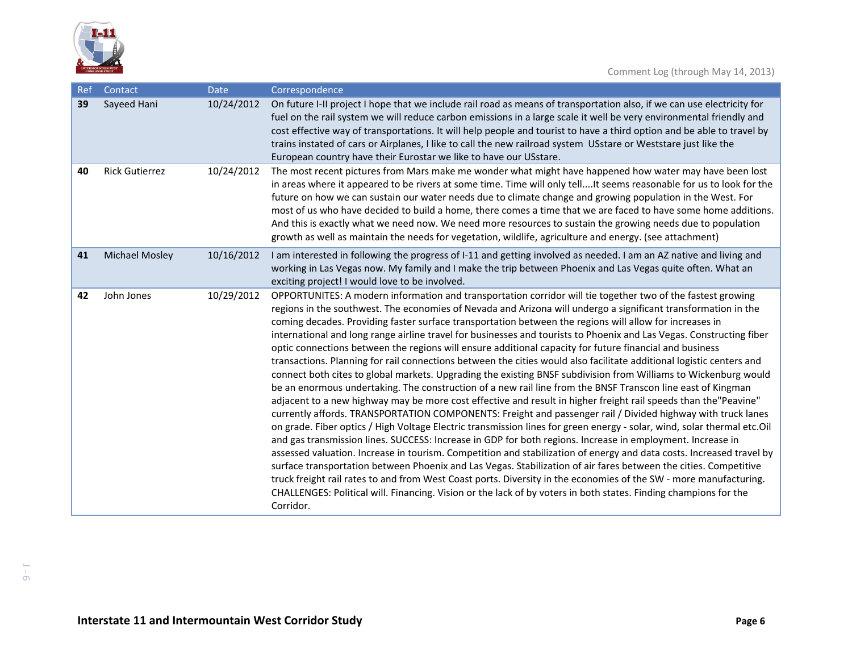

| Ref | Contact               | <b>Date</b> | Correspondence                                                                                                                                                                                                                                                                                                                                                                                                                                                                                                                                                                                                                                                                                                                                                                                                                                                                                                                                                                                                                                                                                                                                                                                                                                                                                                                                                                                                                                                                                                                                                                                                                                                                                                                                                                                                                                                                                                      |
|-----|-----------------------|-------------|---------------------------------------------------------------------------------------------------------------------------------------------------------------------------------------------------------------------------------------------------------------------------------------------------------------------------------------------------------------------------------------------------------------------------------------------------------------------------------------------------------------------------------------------------------------------------------------------------------------------------------------------------------------------------------------------------------------------------------------------------------------------------------------------------------------------------------------------------------------------------------------------------------------------------------------------------------------------------------------------------------------------------------------------------------------------------------------------------------------------------------------------------------------------------------------------------------------------------------------------------------------------------------------------------------------------------------------------------------------------------------------------------------------------------------------------------------------------------------------------------------------------------------------------------------------------------------------------------------------------------------------------------------------------------------------------------------------------------------------------------------------------------------------------------------------------------------------------------------------------------------------------------------------------|
| 39  | Sayeed Hani           | 10/24/2012  | On future I-II project I hope that we include rail road as means of transportation also, if we can use electricity for<br>fuel on the rail system we will reduce carbon emissions in a large scale it well be very environmental friendly and<br>cost effective way of transportations. It will help people and tourist to have a third option and be able to travel by<br>trains instated of cars or Airplanes, I like to call the new railroad system USstare or Weststare just like the<br>European country have their Eurostar we like to have our USstare.                                                                                                                                                                                                                                                                                                                                                                                                                                                                                                                                                                                                                                                                                                                                                                                                                                                                                                                                                                                                                                                                                                                                                                                                                                                                                                                                                     |
| 40  | <b>Rick Gutierrez</b> | 10/24/2012  | The most recent pictures from Mars make me wonder what might have happened how water may have been lost<br>in areas where it appeared to be rivers at some time. Time will only tellIt seems reasonable for us to look for the<br>future on how we can sustain our water needs due to climate change and growing population in the West. For<br>most of us who have decided to build a home, there comes a time that we are faced to have some home additions.<br>And this is exactly what we need now. We need more resources to sustain the growing needs due to population<br>growth as well as maintain the needs for vegetation, wildlife, agriculture and energy. (see attachment)                                                                                                                                                                                                                                                                                                                                                                                                                                                                                                                                                                                                                                                                                                                                                                                                                                                                                                                                                                                                                                                                                                                                                                                                                            |
| 41  | <b>Michael Mosley</b> | 10/16/2012  | I am interested in following the progress of I-11 and getting involved as needed. I am an AZ native and living and<br>working in Las Vegas now. My family and I make the trip between Phoenix and Las Vegas quite often. What an<br>exciting project! I would love to be involved.                                                                                                                                                                                                                                                                                                                                                                                                                                                                                                                                                                                                                                                                                                                                                                                                                                                                                                                                                                                                                                                                                                                                                                                                                                                                                                                                                                                                                                                                                                                                                                                                                                  |
| 42  | John Jones            | 10/29/2012  | OPPORTUNITES: A modern information and transportation corridor will tie together two of the fastest growing<br>regions in the southwest. The economies of Nevada and Arizona will undergo a significant transformation in the<br>coming decades. Providing faster surface transportation between the regions will allow for increases in<br>international and long range airline travel for businesses and tourists to Phoenix and Las Vegas. Constructing fiber<br>optic connections between the regions will ensure additional capacity for future financial and business<br>transactions. Planning for rail connections between the cities would also facilitate additional logistic centers and<br>connect both cites to global markets. Upgrading the existing BNSF subdivision from Williams to Wickenburg would<br>be an enormous undertaking. The construction of a new rail line from the BNSF Transcon line east of Kingman<br>adjacent to a new highway may be more cost effective and result in higher freight rail speeds than the "Peavine"<br>currently affords. TRANSPORTATION COMPONENTS: Freight and passenger rail / Divided highway with truck lanes<br>on grade. Fiber optics / High Voltage Electric transmission lines for green energy - solar, wind, solar thermal etc.Oil<br>and gas transmission lines. SUCCESS: Increase in GDP for both regions. Increase in employment. Increase in<br>assessed valuation. Increase in tourism. Competition and stabilization of energy and data costs. Increased travel by<br>surface transportation between Phoenix and Las Vegas. Stabilization of air fares between the cities. Competitive<br>truck freight rail rates to and from West Coast ports. Diversity in the economies of the SW - more manufacturing.<br>CHALLENGES: Political will. Financing. Vision or the lack of by voters in both states. Finding champions for the<br>Corridor. |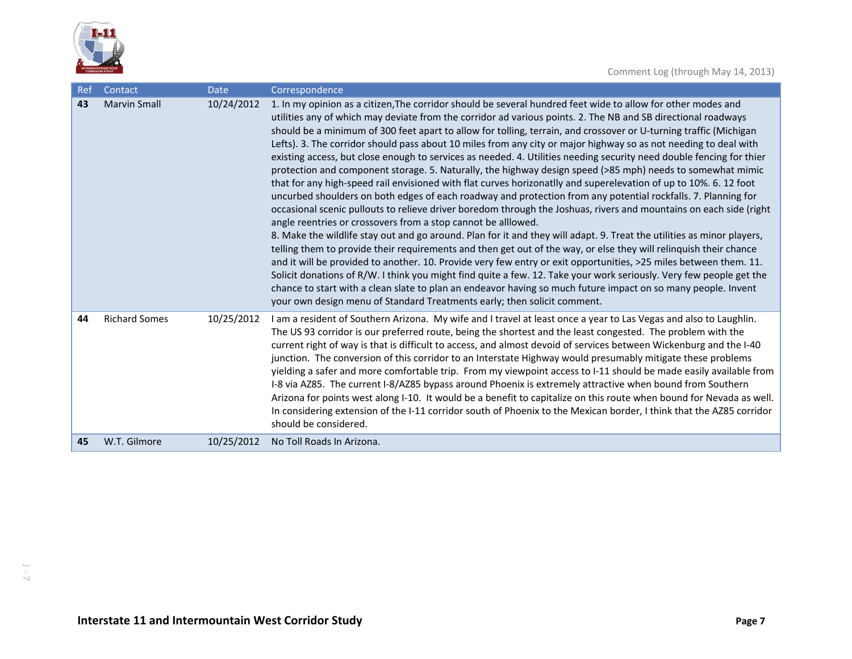

| Ref | Contact              | <b>Date</b> | Correspondence                                                                                                                                                                                                                                                                                                                                                                                                                                                                                                                                                                                                                                                                                                                                                                                                                                                                                                                                                                                                                                                                                                                                                                                                                                                                                                                                                                                                                                                                                                                                                                                                                                                                                                                                                                                                                    |
|-----|----------------------|-------------|-----------------------------------------------------------------------------------------------------------------------------------------------------------------------------------------------------------------------------------------------------------------------------------------------------------------------------------------------------------------------------------------------------------------------------------------------------------------------------------------------------------------------------------------------------------------------------------------------------------------------------------------------------------------------------------------------------------------------------------------------------------------------------------------------------------------------------------------------------------------------------------------------------------------------------------------------------------------------------------------------------------------------------------------------------------------------------------------------------------------------------------------------------------------------------------------------------------------------------------------------------------------------------------------------------------------------------------------------------------------------------------------------------------------------------------------------------------------------------------------------------------------------------------------------------------------------------------------------------------------------------------------------------------------------------------------------------------------------------------------------------------------------------------------------------------------------------------|
| 43  | <b>Marvin Small</b>  | 10/24/2012  | 1. In my opinion as a citizen, The corridor should be several hundred feet wide to allow for other modes and<br>utilities any of which may deviate from the corridor ad various points. 2. The NB and SB directional roadways<br>should be a minimum of 300 feet apart to allow for tolling, terrain, and crossover or U-turning traffic (Michigan<br>Lefts). 3. The corridor should pass about 10 miles from any city or major highway so as not needing to deal with<br>existing access, but close enough to services as needed. 4. Utilities needing security need double fencing for thier<br>protection and component storage. 5. Naturally, the highway design speed (>85 mph) needs to somewhat mimic<br>that for any high-speed rail envisioned with flat curves horizonatlly and superelevation of up to 10%. 6. 12 foot<br>uncurbed shoulders on both edges of each roadway and protection from any potential rockfalls. 7. Planning for<br>occasional scenic pullouts to relieve driver boredom through the Joshuas, rivers and mountains on each side (right<br>angle reentries or crossovers from a stop cannot be alllowed.<br>8. Make the wildlife stay out and go around. Plan for it and they will adapt. 9. Treat the utilities as minor players,<br>telling them to provide their requirements and then get out of the way, or else they will relinquish their chance<br>and it will be provided to another. 10. Provide very few entry or exit opportunities, >25 miles between them. 11.<br>Solicit donations of R/W. I think you might find quite a few. 12. Take your work seriously. Very few people get the<br>chance to start with a clean slate to plan an endeavor having so much future impact on so many people. Invent<br>your own design menu of Standard Treatments early; then solicit comment. |
| 44  | <b>Richard Somes</b> | 10/25/2012  | I am a resident of Southern Arizona. My wife and I travel at least once a year to Las Vegas and also to Laughlin.<br>The US 93 corridor is our preferred route, being the shortest and the least congested. The problem with the<br>current right of way is that is difficult to access, and almost devoid of services between Wickenburg and the I-40<br>junction. The conversion of this corridor to an Interstate Highway would presumably mitigate these problems<br>yielding a safer and more comfortable trip. From my viewpoint access to I-11 should be made easily available from<br>I-8 via AZ85. The current I-8/AZ85 bypass around Phoenix is extremely attractive when bound from Southern<br>Arizona for points west along I-10. It would be a benefit to capitalize on this route when bound for Nevada as well.<br>In considering extension of the I-11 corridor south of Phoenix to the Mexican border, I think that the AZ85 corridor<br>should be considered.                                                                                                                                                                                                                                                                                                                                                                                                                                                                                                                                                                                                                                                                                                                                                                                                                                                  |
| 45  | W.T. Gilmore         | 10/25/2012  | No Toll Roads In Arizona.                                                                                                                                                                                                                                                                                                                                                                                                                                                                                                                                                                                                                                                                                                                                                                                                                                                                                                                                                                                                                                                                                                                                                                                                                                                                                                                                                                                                                                                                                                                                                                                                                                                                                                                                                                                                         |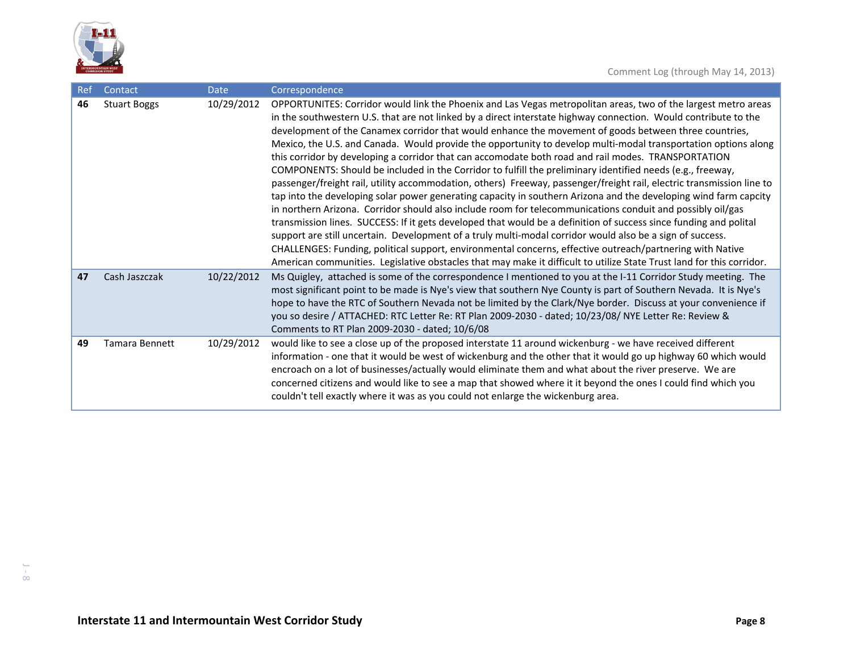

| Ref | Contact               | <b>Date</b> | Correspondence                                                                                                                                                                                                                                                                                                                                                                                                                                                                                                                                                                                                                                                                                                                                                                                                                                                                                                                                                                                                                                                                                                                                                                                                                                                                                                                                                                                                                                                                                                       |
|-----|-----------------------|-------------|----------------------------------------------------------------------------------------------------------------------------------------------------------------------------------------------------------------------------------------------------------------------------------------------------------------------------------------------------------------------------------------------------------------------------------------------------------------------------------------------------------------------------------------------------------------------------------------------------------------------------------------------------------------------------------------------------------------------------------------------------------------------------------------------------------------------------------------------------------------------------------------------------------------------------------------------------------------------------------------------------------------------------------------------------------------------------------------------------------------------------------------------------------------------------------------------------------------------------------------------------------------------------------------------------------------------------------------------------------------------------------------------------------------------------------------------------------------------------------------------------------------------|
| 46  | <b>Stuart Boggs</b>   | 10/29/2012  | OPPORTUNITES: Corridor would link the Phoenix and Las Vegas metropolitan areas, two of the largest metro areas<br>in the southwestern U.S. that are not linked by a direct interstate highway connection. Would contribute to the<br>development of the Canamex corridor that would enhance the movement of goods between three countries,<br>Mexico, the U.S. and Canada. Would provide the opportunity to develop multi-modal transportation options along<br>this corridor by developing a corridor that can accomodate both road and rail modes. TRANSPORTATION<br>COMPONENTS: Should be included in the Corridor to fulfill the preliminary identified needs (e.g., freeway,<br>passenger/freight rail, utility accommodation, others) Freeway, passenger/freight rail, electric transmission line to<br>tap into the developing solar power generating capacity in southern Arizona and the developing wind farm capcity<br>in northern Arizona. Corridor should also include room for telecommunications conduit and possibly oil/gas<br>transmission lines. SUCCESS: If it gets developed that would be a definition of success since funding and polital<br>support are still uncertain. Development of a truly multi-modal corridor would also be a sign of success.<br>CHALLENGES: Funding, political support, environmental concerns, effective outreach/partnering with Native<br>American communities. Legislative obstacles that may make it difficult to utilize State Trust land for this corridor. |
| 47  | Cash Jaszczak         | 10/22/2012  | Ms Quigley, attached is some of the correspondence I mentioned to you at the I-11 Corridor Study meeting. The<br>most significant point to be made is Nye's view that southern Nye County is part of Southern Nevada. It is Nye's<br>hope to have the RTC of Southern Nevada not be limited by the Clark/Nye border. Discuss at your convenience if<br>you so desire / ATTACHED: RTC Letter Re: RT Plan 2009-2030 - dated; 10/23/08/ NYE Letter Re: Review &<br>Comments to RT Plan 2009-2030 - dated; 10/6/08                                                                                                                                                                                                                                                                                                                                                                                                                                                                                                                                                                                                                                                                                                                                                                                                                                                                                                                                                                                                       |
| 49  | <b>Tamara Bennett</b> | 10/29/2012  | would like to see a close up of the proposed interstate 11 around wickenburg - we have received different<br>information - one that it would be west of wickenburg and the other that it would go up highway 60 which would<br>encroach on a lot of businesses/actually would eliminate them and what about the river preserve. We are<br>concerned citizens and would like to see a map that showed where it it beyond the ones I could find which you<br>couldn't tell exactly where it was as you could not enlarge the wickenburg area.                                                                                                                                                                                                                                                                                                                                                                                                                                                                                                                                                                                                                                                                                                                                                                                                                                                                                                                                                                          |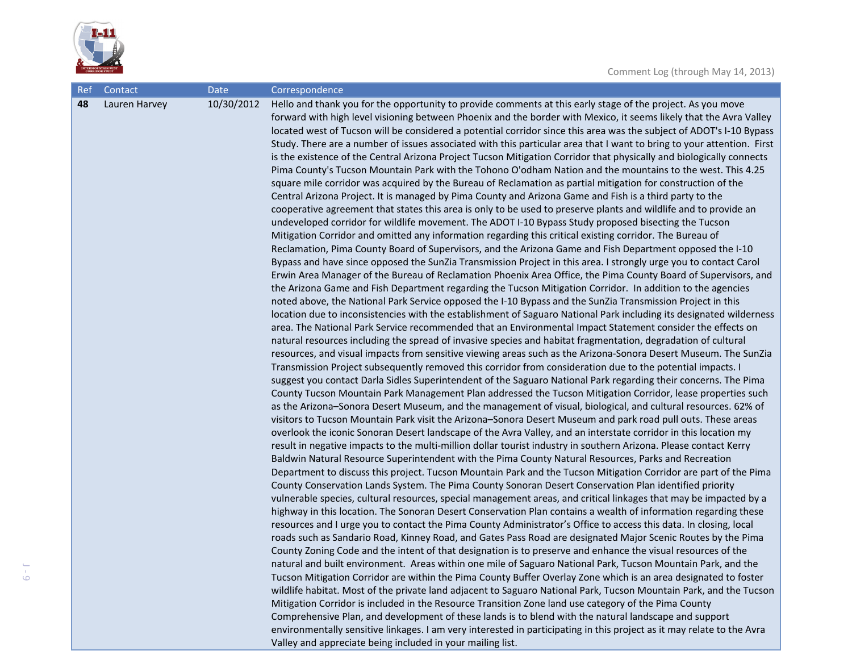

J - 9

| Ref | Contact       | <b>Date</b> | Correspondence                                                                                                                                                                                                                                                                                                                                                                                                                                                                                                                                                                                                                                                                                                                                                                                                                                                                                                                                                                                                                                                                                                                                                                                                                                                                                                                                                                                                                                                                                                                                                                                                                                                                                                                                                                                                                                                                                                                                                                                                                                                                                                                                                                                                                                                                                                                                                                                                                                                                                                                                                                                                                                                                                                                                                                                                                                                                                                                                                                                                                                                                                                                                                                                                                                                                                                                                                                                                                                                                                                                                                                                                                                                                                                                                                                                                                                                                                                                                                                                                                                                                                                                                                                                                                                                                                                                                                                                                                                                           |
|-----|---------------|-------------|--------------------------------------------------------------------------------------------------------------------------------------------------------------------------------------------------------------------------------------------------------------------------------------------------------------------------------------------------------------------------------------------------------------------------------------------------------------------------------------------------------------------------------------------------------------------------------------------------------------------------------------------------------------------------------------------------------------------------------------------------------------------------------------------------------------------------------------------------------------------------------------------------------------------------------------------------------------------------------------------------------------------------------------------------------------------------------------------------------------------------------------------------------------------------------------------------------------------------------------------------------------------------------------------------------------------------------------------------------------------------------------------------------------------------------------------------------------------------------------------------------------------------------------------------------------------------------------------------------------------------------------------------------------------------------------------------------------------------------------------------------------------------------------------------------------------------------------------------------------------------------------------------------------------------------------------------------------------------------------------------------------------------------------------------------------------------------------------------------------------------------------------------------------------------------------------------------------------------------------------------------------------------------------------------------------------------------------------------------------------------------------------------------------------------------------------------------------------------------------------------------------------------------------------------------------------------------------------------------------------------------------------------------------------------------------------------------------------------------------------------------------------------------------------------------------------------------------------------------------------------------------------------------------------------------------------------------------------------------------------------------------------------------------------------------------------------------------------------------------------------------------------------------------------------------------------------------------------------------------------------------------------------------------------------------------------------------------------------------------------------------------------------------------------------------------------------------------------------------------------------------------------------------------------------------------------------------------------------------------------------------------------------------------------------------------------------------------------------------------------------------------------------------------------------------------------------------------------------------------------------------------------------------------------------------------------------------------------------------------------------------------------------------------------------------------------------------------------------------------------------------------------------------------------------------------------------------------------------------------------------------------------------------------------------------------------------------------------------------------------------------------------------------------------------------------------------------------------------|
| 48  | Lauren Harvey | 10/30/2012  | Hello and thank you for the opportunity to provide comments at this early stage of the project. As you move<br>forward with high level visioning between Phoenix and the border with Mexico, it seems likely that the Avra Valley<br>located west of Tucson will be considered a potential corridor since this area was the subject of ADOT's I-10 Bypass<br>Study. There are a number of issues associated with this particular area that I want to bring to your attention. First<br>is the existence of the Central Arizona Project Tucson Mitigation Corridor that physically and biologically connects<br>Pima County's Tucson Mountain Park with the Tohono O'odham Nation and the mountains to the west. This 4.25<br>square mile corridor was acquired by the Bureau of Reclamation as partial mitigation for construction of the<br>Central Arizona Project. It is managed by Pima County and Arizona Game and Fish is a third party to the<br>cooperative agreement that states this area is only to be used to preserve plants and wildlife and to provide an<br>undeveloped corridor for wildlife movement. The ADOT I-10 Bypass Study proposed bisecting the Tucson<br>Mitigation Corridor and omitted any information regarding this critical existing corridor. The Bureau of<br>Reclamation, Pima County Board of Supervisors, and the Arizona Game and Fish Department opposed the I-10<br>Bypass and have since opposed the SunZia Transmission Project in this area. I strongly urge you to contact Carol<br>Erwin Area Manager of the Bureau of Reclamation Phoenix Area Office, the Pima County Board of Supervisors, and<br>the Arizona Game and Fish Department regarding the Tucson Mitigation Corridor. In addition to the agencies<br>noted above, the National Park Service opposed the I-10 Bypass and the SunZia Transmission Project in this<br>location due to inconsistencies with the establishment of Saguaro National Park including its designated wilderness<br>area. The National Park Service recommended that an Environmental Impact Statement consider the effects on<br>natural resources including the spread of invasive species and habitat fragmentation, degradation of cultural<br>resources, and visual impacts from sensitive viewing areas such as the Arizona-Sonora Desert Museum. The SunZia<br>Transmission Project subsequently removed this corridor from consideration due to the potential impacts. I<br>suggest you contact Darla Sidles Superintendent of the Saguaro National Park regarding their concerns. The Pima<br>County Tucson Mountain Park Management Plan addressed the Tucson Mitigation Corridor, lease properties such<br>as the Arizona-Sonora Desert Museum, and the management of visual, biological, and cultural resources. 62% of<br>visitors to Tucson Mountain Park visit the Arizona-Sonora Desert Museum and park road pull outs. These areas<br>overlook the iconic Sonoran Desert landscape of the Avra Valley, and an interstate corridor in this location my<br>result in negative impacts to the multi-million dollar tourist industry in southern Arizona. Please contact Kerry<br>Baldwin Natural Resource Superintendent with the Pima County Natural Resources, Parks and Recreation<br>Department to discuss this project. Tucson Mountain Park and the Tucson Mitigation Corridor are part of the Pima<br>County Conservation Lands System. The Pima County Sonoran Desert Conservation Plan identified priority<br>vulnerable species, cultural resources, special management areas, and critical linkages that may be impacted by a<br>highway in this location. The Sonoran Desert Conservation Plan contains a wealth of information regarding these<br>resources and I urge you to contact the Pima County Administrator's Office to access this data. In closing, local<br>roads such as Sandario Road, Kinney Road, and Gates Pass Road are designated Major Scenic Routes by the Pima<br>County Zoning Code and the intent of that designation is to preserve and enhance the visual resources of the<br>natural and built environment. Areas within one mile of Saguaro National Park, Tucson Mountain Park, and the<br>Tucson Mitigation Corridor are within the Pima County Buffer Overlay Zone which is an area designated to foster<br>wildlife habitat. Most of the private land adjacent to Saguaro National Park, Tucson Mountain Park, and the Tucson |
|     |               |             | Mitigation Corridor is included in the Resource Transition Zone land use category of the Pima County<br>Comprehensive Plan, and development of these lands is to blend with the natural landscape and support<br>environmentally sensitive linkages. I am very interested in participating in this project as it may relate to the Avra<br>Valley and appreciate being included in your mailing list.                                                                                                                                                                                                                                                                                                                                                                                                                                                                                                                                                                                                                                                                                                                                                                                                                                                                                                                                                                                                                                                                                                                                                                                                                                                                                                                                                                                                                                                                                                                                                                                                                                                                                                                                                                                                                                                                                                                                                                                                                                                                                                                                                                                                                                                                                                                                                                                                                                                                                                                                                                                                                                                                                                                                                                                                                                                                                                                                                                                                                                                                                                                                                                                                                                                                                                                                                                                                                                                                                                                                                                                                                                                                                                                                                                                                                                                                                                                                                                                                                                                                    |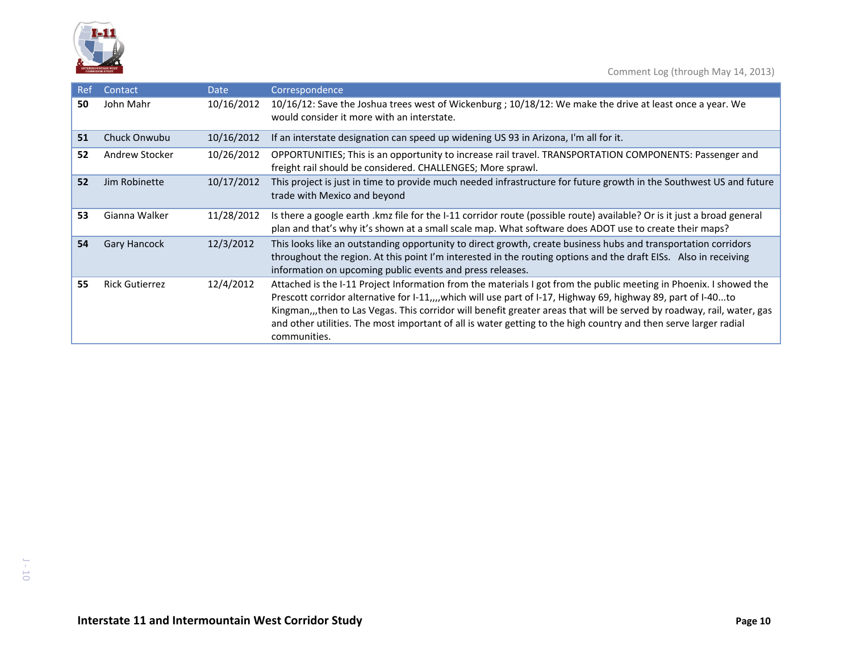

| Ref | Contact               | <b>Date</b> | Correspondence                                                                                                                                                                                                                                                                                                                                                                                                                                                                                    |
|-----|-----------------------|-------------|---------------------------------------------------------------------------------------------------------------------------------------------------------------------------------------------------------------------------------------------------------------------------------------------------------------------------------------------------------------------------------------------------------------------------------------------------------------------------------------------------|
| 50  | John Mahr             | 10/16/2012  | 10/16/12: Save the Joshua trees west of Wickenburg ; 10/18/12: We make the drive at least once a year. We<br>would consider it more with an interstate.                                                                                                                                                                                                                                                                                                                                           |
| 51  | Chuck Onwubu          | 10/16/2012  | If an interstate designation can speed up widening US 93 in Arizona, I'm all for it.                                                                                                                                                                                                                                                                                                                                                                                                              |
| 52  | Andrew Stocker        | 10/26/2012  | OPPORTUNITIES; This is an opportunity to increase rail travel. TRANSPORTATION COMPONENTS: Passenger and<br>freight rail should be considered. CHALLENGES; More sprawl.                                                                                                                                                                                                                                                                                                                            |
| 52  | Jim Robinette         | 10/17/2012  | This project is just in time to provide much needed infrastructure for future growth in the Southwest US and future<br>trade with Mexico and beyond                                                                                                                                                                                                                                                                                                                                               |
| 53  | Gianna Walker         | 11/28/2012  | Is there a google earth .kmz file for the I-11 corridor route (possible route) available? Or is it just a broad general<br>plan and that's why it's shown at a small scale map. What software does ADOT use to create their maps?                                                                                                                                                                                                                                                                 |
| 54  | <b>Gary Hancock</b>   | 12/3/2012   | This looks like an outstanding opportunity to direct growth, create business hubs and transportation corridors<br>throughout the region. At this point I'm interested in the routing options and the draft EISs. Also in receiving<br>information on upcoming public events and press releases.                                                                                                                                                                                                   |
| 55  | <b>Rick Gutierrez</b> | 12/4/2012   | Attached is the I-11 Project Information from the materials I got from the public meeting in Phoenix. I showed the<br>Prescott corridor alternative for I-11,,,,which will use part of I-17, Highway 69, highway 89, part of I-40to<br>Kingman,,,then to Las Vegas. This corridor will benefit greater areas that will be served by roadway, rail, water, gas<br>and other utilities. The most important of all is water getting to the high country and then serve larger radial<br>communities. |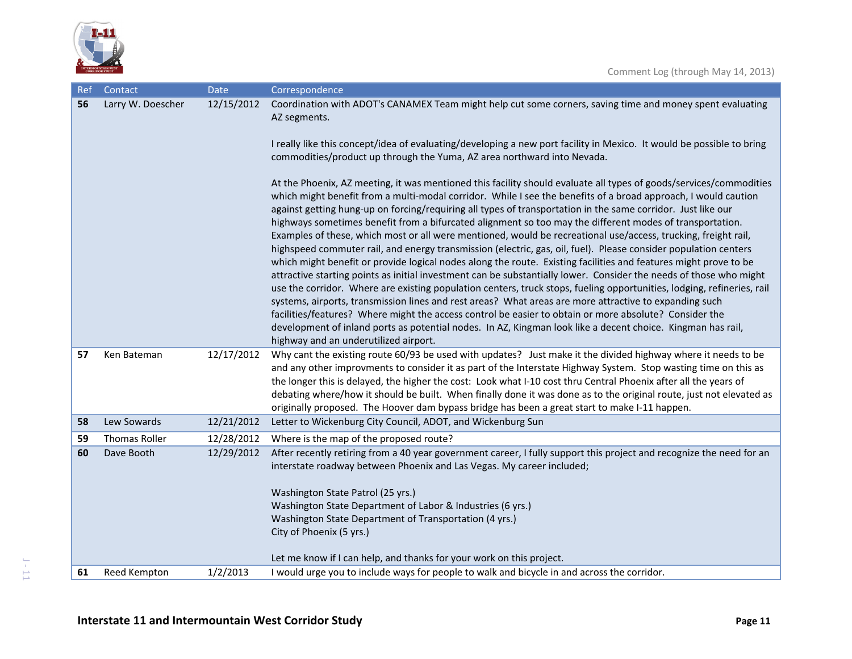

| Ref | Contact              | <b>Date</b> | Correspondence                                                                                                                                                                                                                                                                                                                                                                                                                                                                                                                                                                                                                                                                                                                                                                                                                                                                                                                                  |
|-----|----------------------|-------------|-------------------------------------------------------------------------------------------------------------------------------------------------------------------------------------------------------------------------------------------------------------------------------------------------------------------------------------------------------------------------------------------------------------------------------------------------------------------------------------------------------------------------------------------------------------------------------------------------------------------------------------------------------------------------------------------------------------------------------------------------------------------------------------------------------------------------------------------------------------------------------------------------------------------------------------------------|
| 56  | Larry W. Doescher    | 12/15/2012  | Coordination with ADOT's CANAMEX Team might help cut some corners, saving time and money spent evaluating<br>AZ segments.<br>I really like this concept/idea of evaluating/developing a new port facility in Mexico. It would be possible to bring<br>commodities/product up through the Yuma, AZ area northward into Nevada.                                                                                                                                                                                                                                                                                                                                                                                                                                                                                                                                                                                                                   |
|     |                      |             | At the Phoenix, AZ meeting, it was mentioned this facility should evaluate all types of goods/services/commodities<br>which might benefit from a multi-modal corridor. While I see the benefits of a broad approach, I would caution<br>against getting hung-up on forcing/requiring all types of transportation in the same corridor. Just like our<br>highways sometimes benefit from a bifurcated alignment so too may the different modes of transportation.<br>Examples of these, which most or all were mentioned, would be recreational use/access, trucking, freight rail,<br>highspeed commuter rail, and energy transmission (electric, gas, oil, fuel). Please consider population centers<br>which might benefit or provide logical nodes along the route. Existing facilities and features might prove to be<br>attractive starting points as initial investment can be substantially lower. Consider the needs of those who might |
|     |                      |             | use the corridor. Where are existing population centers, truck stops, fueling opportunities, lodging, refineries, rail<br>systems, airports, transmission lines and rest areas? What areas are more attractive to expanding such<br>facilities/features? Where might the access control be easier to obtain or more absolute? Consider the<br>development of inland ports as potential nodes. In AZ, Kingman look like a decent choice. Kingman has rail,<br>highway and an underutilized airport.                                                                                                                                                                                                                                                                                                                                                                                                                                              |
| 57  | Ken Bateman          | 12/17/2012  | Why cant the existing route 60/93 be used with updates? Just make it the divided highway where it needs to be<br>and any other improvments to consider it as part of the Interstate Highway System. Stop wasting time on this as<br>the longer this is delayed, the higher the cost: Look what I-10 cost thru Central Phoenix after all the years of<br>debating where/how it should be built. When finally done it was done as to the original route, just not elevated as<br>originally proposed. The Hoover dam bypass bridge has been a great start to make I-11 happen.                                                                                                                                                                                                                                                                                                                                                                    |
| 58  | Lew Sowards          | 12/21/2012  | Letter to Wickenburg City Council, ADOT, and Wickenburg Sun                                                                                                                                                                                                                                                                                                                                                                                                                                                                                                                                                                                                                                                                                                                                                                                                                                                                                     |
| 59  | <b>Thomas Roller</b> | 12/28/2012  | Where is the map of the proposed route?                                                                                                                                                                                                                                                                                                                                                                                                                                                                                                                                                                                                                                                                                                                                                                                                                                                                                                         |
| 60  | Dave Booth           | 12/29/2012  | After recently retiring from a 40 year government career, I fully support this project and recognize the need for an<br>interstate roadway between Phoenix and Las Vegas. My career included;<br>Washington State Patrol (25 yrs.)<br>Washington State Department of Labor & Industries (6 yrs.)<br>Washington State Department of Transportation (4 yrs.)<br>City of Phoenix (5 yrs.)<br>Let me know if I can help, and thanks for your work on this project.                                                                                                                                                                                                                                                                                                                                                                                                                                                                                  |
| 61  | Reed Kempton         | 1/2/2013    | I would urge you to include ways for people to walk and bicycle in and across the corridor.                                                                                                                                                                                                                                                                                                                                                                                                                                                                                                                                                                                                                                                                                                                                                                                                                                                     |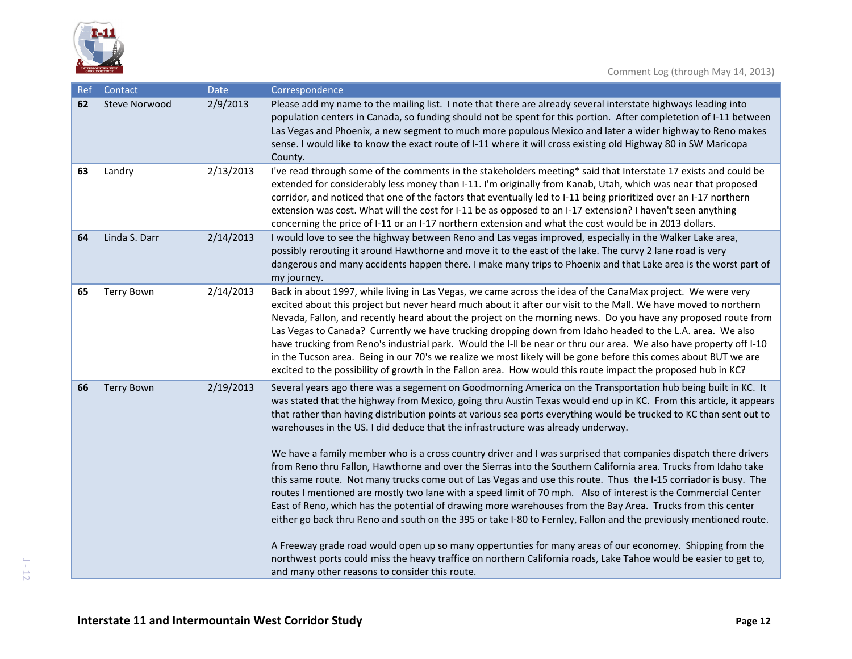

| Ref | Contact              | <b>Date</b> | Correspondence                                                                                                                                                                                                                                                                                                                                                                                                                                                                                                                                                                                                                                                                                                                                                                                                                                                                                                                                                                                                                                                                                                                                                                                                                                                                                                                                                                                                                                    |
|-----|----------------------|-------------|---------------------------------------------------------------------------------------------------------------------------------------------------------------------------------------------------------------------------------------------------------------------------------------------------------------------------------------------------------------------------------------------------------------------------------------------------------------------------------------------------------------------------------------------------------------------------------------------------------------------------------------------------------------------------------------------------------------------------------------------------------------------------------------------------------------------------------------------------------------------------------------------------------------------------------------------------------------------------------------------------------------------------------------------------------------------------------------------------------------------------------------------------------------------------------------------------------------------------------------------------------------------------------------------------------------------------------------------------------------------------------------------------------------------------------------------------|
| 62  | <b>Steve Norwood</b> | 2/9/2013    | Please add my name to the mailing list. I note that there are already several interstate highways leading into<br>population centers in Canada, so funding should not be spent for this portion. After completetion of I-11 between<br>Las Vegas and Phoenix, a new segment to much more populous Mexico and later a wider highway to Reno makes<br>sense. I would like to know the exact route of I-11 where it will cross existing old Highway 80 in SW Maricopa<br>County.                                                                                                                                                                                                                                                                                                                                                                                                                                                                                                                                                                                                                                                                                                                                                                                                                                                                                                                                                                     |
| 63  | Landry               | 2/13/2013   | I've read through some of the comments in the stakeholders meeting* said that Interstate 17 exists and could be<br>extended for considerably less money than I-11. I'm originally from Kanab, Utah, which was near that proposed<br>corridor, and noticed that one of the factors that eventually led to I-11 being prioritized over an I-17 northern<br>extension was cost. What will the cost for I-11 be as opposed to an I-17 extension? I haven't seen anything<br>concerning the price of I-11 or an I-17 northern extension and what the cost would be in 2013 dollars.                                                                                                                                                                                                                                                                                                                                                                                                                                                                                                                                                                                                                                                                                                                                                                                                                                                                    |
| 64  | Linda S. Darr        | 2/14/2013   | I would love to see the highway between Reno and Las vegas improved, especially in the Walker Lake area,<br>possibly rerouting it around Hawthorne and move it to the east of the lake. The curvy 2 lane road is very<br>dangerous and many accidents happen there. I make many trips to Phoenix and that Lake area is the worst part of<br>my journey.                                                                                                                                                                                                                                                                                                                                                                                                                                                                                                                                                                                                                                                                                                                                                                                                                                                                                                                                                                                                                                                                                           |
| 65  | <b>Terry Bown</b>    | 2/14/2013   | Back in about 1997, while living in Las Vegas, we came across the idea of the CanaMax project. We were very<br>excited about this project but never heard much about it after our visit to the Mall. We have moved to northern<br>Nevada, Fallon, and recently heard about the project on the morning news. Do you have any proposed route from<br>Las Vegas to Canada? Currently we have trucking dropping down from Idaho headed to the L.A. area. We also<br>have trucking from Reno's industrial park. Would the I-II be near or thru our area. We also have property off I-10<br>in the Tucson area. Being in our 70's we realize we most likely will be gone before this comes about BUT we are<br>excited to the possibility of growth in the Fallon area. How would this route impact the proposed hub in KC?                                                                                                                                                                                                                                                                                                                                                                                                                                                                                                                                                                                                                             |
| 66  | <b>Terry Bown</b>    | 2/19/2013   | Several years ago there was a segement on Goodmorning America on the Transportation hub being built in KC. It<br>was stated that the highway from Mexico, going thru Austin Texas would end up in KC. From this article, it appears<br>that rather than having distribution points at various sea ports everything would be trucked to KC than sent out to<br>warehouses in the US. I did deduce that the infrastructure was already underway.<br>We have a family member who is a cross country driver and I was surprised that companies dispatch there drivers<br>from Reno thru Fallon, Hawthorne and over the Sierras into the Southern California area. Trucks from Idaho take<br>this same route. Not many trucks come out of Las Vegas and use this route. Thus the I-15 corriador is busy. The<br>routes I mentioned are mostly two lane with a speed limit of 70 mph. Also of interest is the Commercial Center<br>East of Reno, which has the potential of drawing more warehouses from the Bay Area. Trucks from this center<br>either go back thru Reno and south on the 395 or take I-80 to Fernley, Fallon and the previously mentioned route.<br>A Freeway grade road would open up so many oppertunties for many areas of our economey. Shipping from the<br>northwest ports could miss the heavy traffice on northern California roads, Lake Tahoe would be easier to get to,<br>and many other reasons to consider this route. |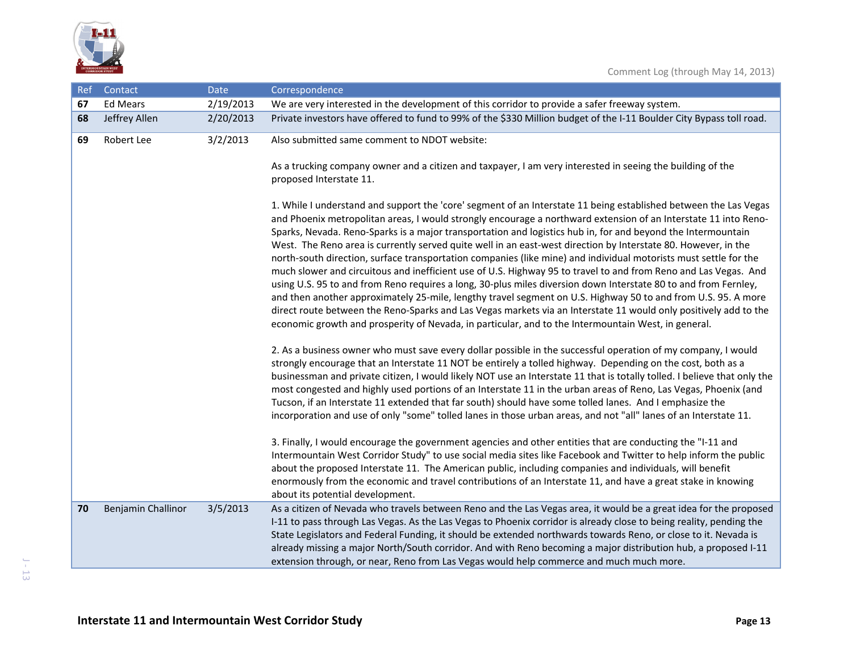

| Ref | Contact            | Date      | Correspondence                                                                                                                                                                                                                                                                                                                                                                                                                                                                                                                                                                                                                                                                                                                                                                                                                                                                                                                                                                                                                                                                                                                                                              |
|-----|--------------------|-----------|-----------------------------------------------------------------------------------------------------------------------------------------------------------------------------------------------------------------------------------------------------------------------------------------------------------------------------------------------------------------------------------------------------------------------------------------------------------------------------------------------------------------------------------------------------------------------------------------------------------------------------------------------------------------------------------------------------------------------------------------------------------------------------------------------------------------------------------------------------------------------------------------------------------------------------------------------------------------------------------------------------------------------------------------------------------------------------------------------------------------------------------------------------------------------------|
| 67  | <b>Ed Mears</b>    | 2/19/2013 | We are very interested in the development of this corridor to provide a safer freeway system.                                                                                                                                                                                                                                                                                                                                                                                                                                                                                                                                                                                                                                                                                                                                                                                                                                                                                                                                                                                                                                                                               |
| 68  | Jeffrey Allen      | 2/20/2013 | Private investors have offered to fund to 99% of the \$330 Million budget of the I-11 Boulder City Bypass toll road.                                                                                                                                                                                                                                                                                                                                                                                                                                                                                                                                                                                                                                                                                                                                                                                                                                                                                                                                                                                                                                                        |
| 69  | Robert Lee         | 3/2/2013  | Also submitted same comment to NDOT website:                                                                                                                                                                                                                                                                                                                                                                                                                                                                                                                                                                                                                                                                                                                                                                                                                                                                                                                                                                                                                                                                                                                                |
|     |                    |           | As a trucking company owner and a citizen and taxpayer, I am very interested in seeing the building of the<br>proposed Interstate 11.                                                                                                                                                                                                                                                                                                                                                                                                                                                                                                                                                                                                                                                                                                                                                                                                                                                                                                                                                                                                                                       |
|     |                    |           | 1. While I understand and support the 'core' segment of an Interstate 11 being established between the Las Vegas<br>and Phoenix metropolitan areas, I would strongly encourage a northward extension of an Interstate 11 into Reno-<br>Sparks, Nevada. Reno-Sparks is a major transportation and logistics hub in, for and beyond the Intermountain<br>West. The Reno area is currently served quite well in an east-west direction by Interstate 80. However, in the<br>north-south direction, surface transportation companies (like mine) and individual motorists must settle for the<br>much slower and circuitous and inefficient use of U.S. Highway 95 to travel to and from Reno and Las Vegas. And<br>using U.S. 95 to and from Reno requires a long, 30-plus miles diversion down Interstate 80 to and from Fernley,<br>and then another approximately 25-mile, lengthy travel segment on U.S. Highway 50 to and from U.S. 95. A more<br>direct route between the Reno-Sparks and Las Vegas markets via an Interstate 11 would only positively add to the<br>economic growth and prosperity of Nevada, in particular, and to the Intermountain West, in general. |
|     |                    |           | 2. As a business owner who must save every dollar possible in the successful operation of my company, I would<br>strongly encourage that an Interstate 11 NOT be entirely a tolled highway. Depending on the cost, both as a<br>businessman and private citizen, I would likely NOT use an Interstate 11 that is totally tolled. I believe that only the<br>most congested and highly used portions of an Interstate 11 in the urban areas of Reno, Las Vegas, Phoenix (and<br>Tucson, if an Interstate 11 extended that far south) should have some tolled lanes. And I emphasize the<br>incorporation and use of only "some" tolled lanes in those urban areas, and not "all" lanes of an Interstate 11.                                                                                                                                                                                                                                                                                                                                                                                                                                                                  |
|     |                    |           | 3. Finally, I would encourage the government agencies and other entities that are conducting the "I-11 and<br>Intermountain West Corridor Study" to use social media sites like Facebook and Twitter to help inform the public<br>about the proposed Interstate 11. The American public, including companies and individuals, will benefit<br>enormously from the economic and travel contributions of an Interstate 11, and have a great stake in knowing<br>about its potential development.                                                                                                                                                                                                                                                                                                                                                                                                                                                                                                                                                                                                                                                                              |
| 70  | Benjamin Challinor | 3/5/2013  | As a citizen of Nevada who travels between Reno and the Las Vegas area, it would be a great idea for the proposed<br>I-11 to pass through Las Vegas. As the Las Vegas to Phoenix corridor is already close to being reality, pending the<br>State Legislators and Federal Funding, it should be extended northwards towards Reno, or close to it. Nevada is<br>already missing a major North/South corridor. And with Reno becoming a major distribution hub, a proposed I-11<br>extension through, or near, Reno from Las Vegas would help commerce and much much more.                                                                                                                                                                                                                                                                                                                                                                                                                                                                                                                                                                                                    |